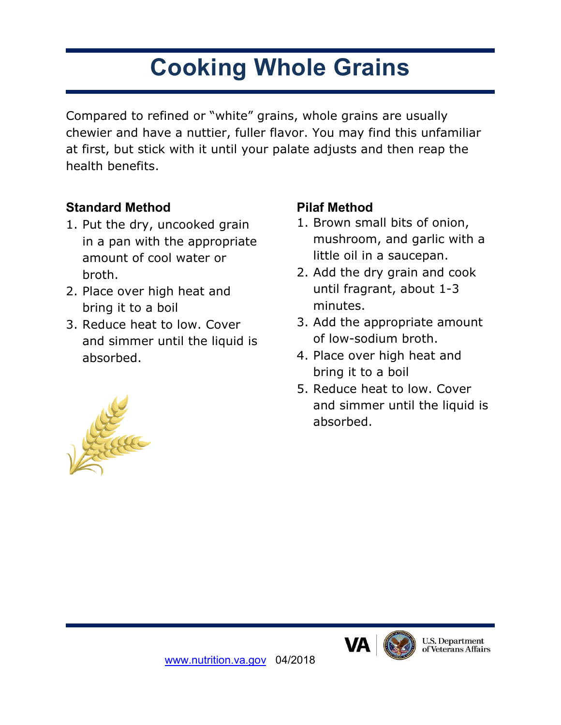# **Cooking Whole Grains**

Compared to refined or "white" grains, whole grains are usually chewier and have a nuttier, fuller flavor. You may find this unfamiliar at first, but stick with it until your palate adjusts and then reap the health benefits.

# **Standard Method**

- 1. Put the dry, uncooked grain in a pan with the appropriate amount of cool water or broth.
- 2. Place over high heat and bring it to a boil
- 3. Reduce heat to low. Cover and simmer until the liquid is absorbed.

## **Pilaf Method**

- 1. Brown small bits of onion, mushroom, and garlic with a little oil in a saucepan.
- 2. Add the dry grain and cook until fragrant, about 1-3 minutes.
- 3. Add the appropriate amount of low-sodium broth.
- 4. Place over high heat and bring it to a boil
- 5. Reduce heat to low. Cover and simmer until the liquid is absorbed.





[www.nutrition.va.gov](http://www.nutrition.va.gov/) 04/2018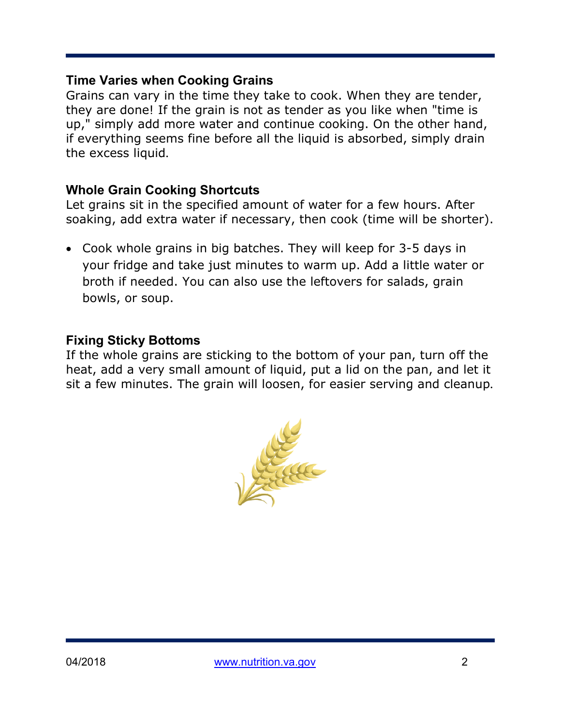#### **Time Varies when Cooking Grains**

Grains can vary in the time they take to cook. When they are tender, they are done! If the grain is not as tender as you like when "time is up," simply add more water and continue cooking. On the other hand, if everything seems fine before all the liquid is absorbed, simply drain the excess liquid.

## **Whole Grain Cooking Shortcuts**

Let grains sit in the specified amount of water for a few hours. After soaking, add extra water if necessary, then cook (time will be shorter).

• Cook whole grains in big batches. They will keep for 3-5 days in your fridge and take just minutes to warm up. Add a little water or broth if needed. You can also use the leftovers for salads, grain bowls, or soup.

## **Fixing Sticky Bottoms**

If the whole grains are sticking to the bottom of your pan, turn off the heat, add a very small amount of liquid, put a lid on the pan, and let it sit a few minutes. The grain will loosen, for easier serving and cleanup.